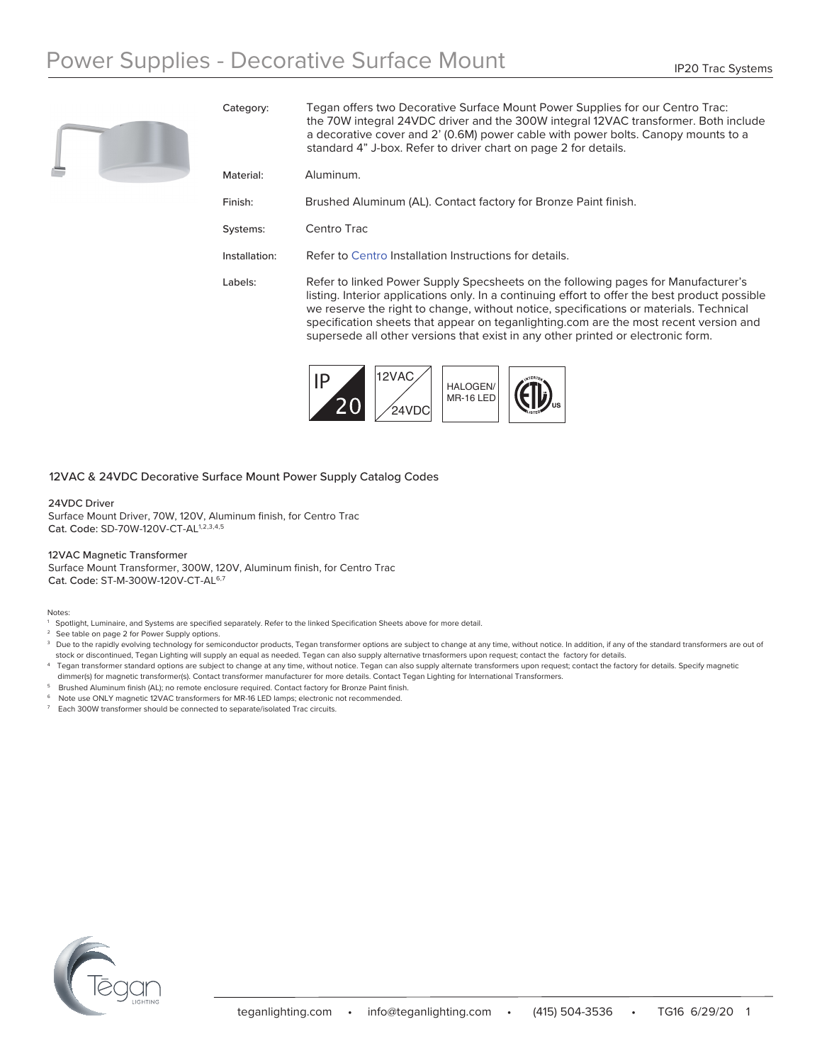

Category: Tegan offers two Decorative Surface Mount Power Supplies for our Centro Trac: the 70W integral 24VDC driver and the 300W integral 12VAC transformer. Both include a decorative cover and 2' (0.6M) power cable with power bolts. Canopy mounts to a standard 4" J-box. Refer to driver chart on page 2 for details.

| Aluminum.<br>Material: |
|------------------------|
|------------------------|

Finish: Brushed Aluminum (AL). Contact factory for Bronze Paint finish.

Systems: Centro Trac

Installation: Refer to [Centro](http://teganlighting.com/images/PDFs/instructions/Centro_Trac_Install.pdf) Installation Instructions for details.

Labels: Refer to linked Power Supply Specsheets on the following pages for Manufacturer's listing. Interior applications only. In a continuing effort to offer the best product possible we reserve the right to change, without notice, specifications or materials. Technical specification sheets that appear on teganlighting.com are the most recent version and supersede all other versions that exist in any other printed or electronic form.



### 12VAC & 24VDC Decorative Surface Mount Power Supply Catalog Codes

#### 24VDC Driver

Surface Mount Driver, 70W, 120V, Aluminum finish, for Centro Trac Cat. Code: SD-70W-120V-CT-AL1,2,3,4,5

### 12VAC Magnetic Transformer

Surface Mount Transformer, 300W, 120V, Aluminum finish, for Centro Trac Cat. Code: ST-M-300W-120V-CT-AL6,7

Notes:

- 1 Spotlight, Luminaire, and Systems are specified separately. Refer to the linked Specification Sheets above for more detail.
- See table on page 2 for Power Supply options.
- <sup>3</sup> Due to the rapidly evolving technology for semiconductor products, Tegan transformer options are subject to change at any time, without notice. In addition, if any of the standard transformers are out of stock or discontinued, Tegan Lighting will supply an equal as needed. Tegan can also supply alternative trnasformers upon request; contact the factory for details.
- 4 Tegan transformer standard options are subject to change at any time, without notice. Tegan can also supply alternate transformers upon request; contact the factory for details. Specify magnetic dimmer(s) for magnetic transformer(s). Contact transformer manufacturer for more details. Contact Tegan Lighting for International Transformers.
- 5 Brushed Aluminum finish (AL); no remote enclosure required. Contact factory for Bronze Paint finish.
- Note use ONLY magnetic 12VAC transformers for MR-16 LED lamps; electronic not recommended.
- 7 Each 300W transformer should be connected to separate/isolated Trac circuits.